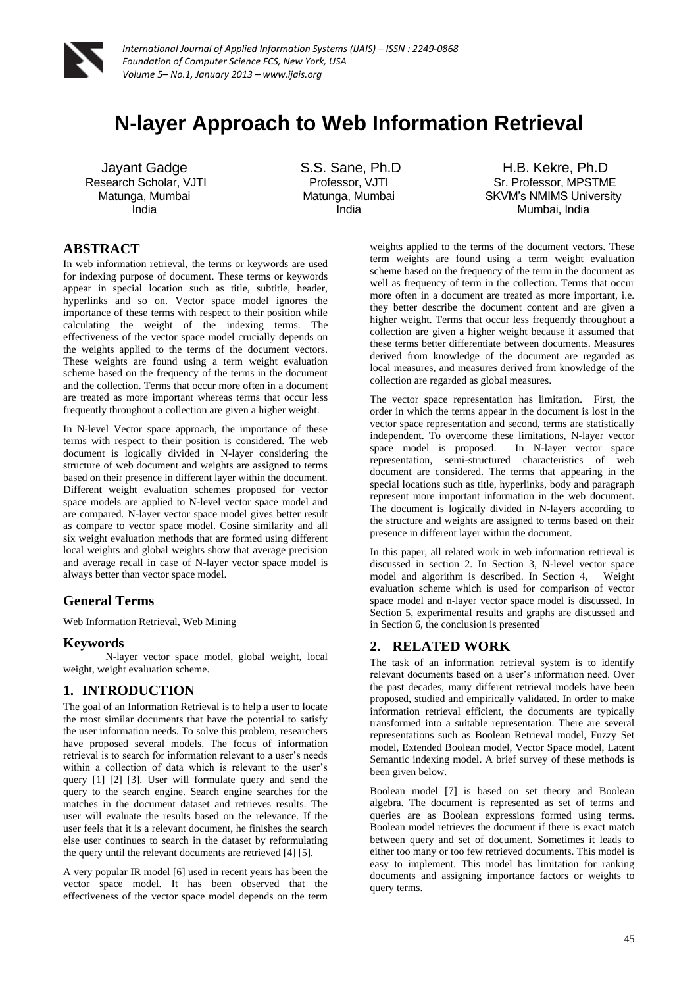

# **N-layer Approach to Web Information Retrieval**

Jayant Gadge Research Scholar, VJTI Matunga, Mumbai India

S.S. Sane, Ph.D Professor, VJTI Matunga, Mumbai India

H.B. Kekre, Ph.D Sr. Professor, MPSTME SKVM's NMIMS University Mumbai, India

# **ABSTRACT**

In web information retrieval, the terms or keywords are used for indexing purpose of document. These terms or keywords appear in special location such as title, subtitle, header, hyperlinks and so on. Vector space model ignores the importance of these terms with respect to their position while calculating the weight of the indexing terms. The effectiveness of the vector space model crucially depends on the weights applied to the terms of the document vectors. These weights are found using a term weight evaluation scheme based on the frequency of the terms in the document and the collection. Terms that occur more often in a document are treated as more important whereas terms that occur less frequently throughout a collection are given a higher weight.

In N-level Vector space approach, the importance of these terms with respect to their position is considered. The web document is logically divided in N-layer considering the structure of web document and weights are assigned to terms based on their presence in different layer within the document. Different weight evaluation schemes proposed for vector space models are applied to N-level vector space model and are compared. N-layer vector space model gives better result as compare to vector space model. Cosine similarity and all six weight evaluation methods that are formed using different local weights and global weights show that average precision and average recall in case of N-layer vector space model is always better than vector space model.

#### **General Terms**

Web Information Retrieval, Web Mining

#### **Keywords**

N-layer vector space model, global weight, local weight, weight evaluation scheme.

# **1. INTRODUCTION**

The goal of an Information Retrieval is to help a user to locate the most similar documents that have the potential to satisfy the user information needs. To solve this problem, researchers have proposed several models. The focus of information retrieval is to search for information relevant to a user's needs within a collection of data which is relevant to the user's query [1] [2] [3]. User will formulate query and send the query to the search engine. Search engine searches for the matches in the document dataset and retrieves results. The user will evaluate the results based on the relevance. If the user feels that it is a relevant document, he finishes the search else user continues to search in the dataset by reformulating the query until the relevant documents are retrieved [4] [5].

A very popular IR model [6] used in recent years has been the vector space model. It has been observed that the effectiveness of the vector space model depends on the term

weights applied to the terms of the document vectors. These term weights are found using a term weight evaluation scheme based on the frequency of the term in the document as well as frequency of term in the collection. Terms that occur more often in a document are treated as more important, i.e. they better describe the document content and are given a higher weight. Terms that occur less frequently throughout a collection are given a higher weight because it assumed that these terms better differentiate between documents. Measures derived from knowledge of the document are regarded as local measures, and measures derived from knowledge of the collection are regarded as global measures.

The vector space representation has limitation. First, the order in which the terms appear in the document is lost in the vector space representation and second, terms are statistically independent. To overcome these limitations, N-layer vector space model is proposed. In N-layer vector space representation, semi-structured characteristics of web document are considered. The terms that appearing in the special locations such as title, hyperlinks, body and paragraph represent more important information in the web document. The document is logically divided in N-layers according to the structure and weights are assigned to terms based on their presence in different layer within the document.

In this paper, all related work in web information retrieval is discussed in section 2. In Section 3, N-level vector space model and algorithm is described. In Section 4, Weight evaluation scheme which is used for comparison of vector space model and n-layer vector space model is discussed. In Section 5, experimental results and graphs are discussed and in Section 6, the conclusion is presented

# **2. RELATED WORK**

The task of an information retrieval system is to identify relevant documents based on a user's information need. Over the past decades, many different retrieval models have been proposed, studied and empirically validated. In order to make information retrieval efficient, the documents are typically transformed into a suitable representation. There are several representations such as Boolean Retrieval model, Fuzzy Set model, Extended Boolean model, Vector Space model, Latent Semantic indexing model. A brief survey of these methods is been given below.

Boolean model [7] is based on set theory and Boolean algebra. The document is represented as set of terms and queries are as Boolean expressions formed using terms. Boolean model retrieves the document if there is exact match between query and set of document. Sometimes it leads to either too many or too few retrieved documents. This model is easy to implement. This model has limitation for ranking documents and assigning importance factors or weights to query terms.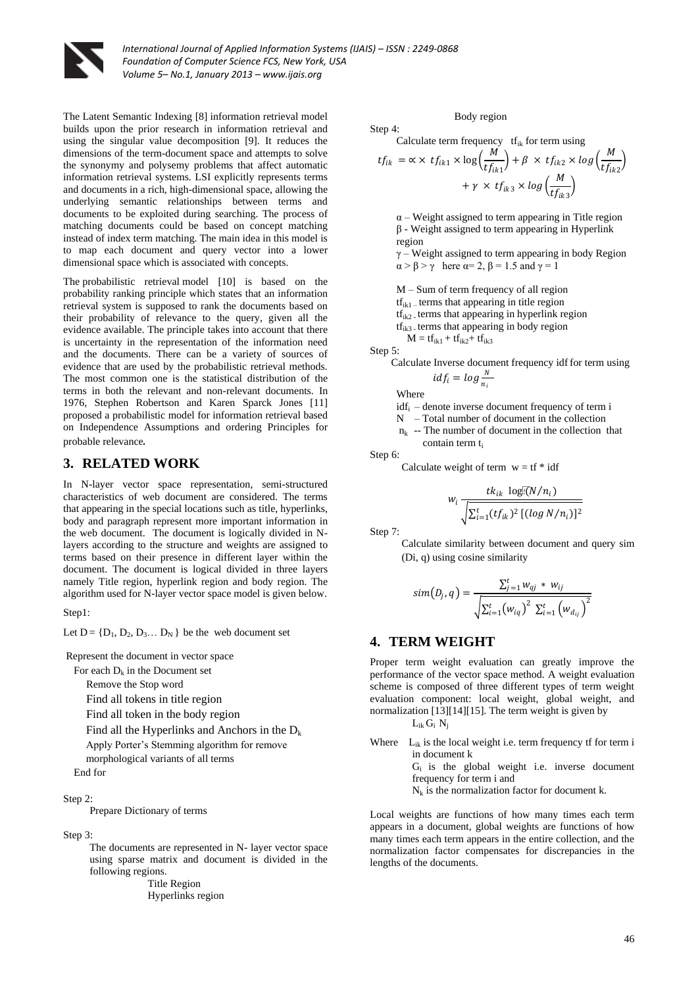

The Latent Semantic Indexing [8] information retrieval model builds upon the prior research in information retrieval and using the singular value decomposition [9]. It reduces the dimensions of the term-document space and attempts to solve the synonymy and polysemy problems that affect automatic information retrieval systems. LSI explicitly represents terms and documents in a rich, high-dimensional space, allowing the underlying semantic relationships between terms and documents to be exploited during searching. The process of matching documents could be based on concept matching instead of index term matching. The main idea in this model is to map each document and query vector into a lower dimensional space which is associated with concepts.

The probabilistic retrieval model [10] is based on the probability ranking principle which states that an information retrieval system is supposed to rank the documents based on their probability of relevance to the query, given all the evidence available. The principle takes into account that there is uncertainty in the representation of the information need and the documents. There can be a variety of sources of evidence that are used by the probabilistic retrieval methods. The most common one is the statistical distribution of the terms in both the relevant and non-relevant documents. In 1976, Stephen Robertson and Karen Sparck Jones [11] proposed a probabilistic model for information retrieval based on Independence Assumptions and ordering Principles for probable relevance.

#### **3. RELATED WORK**

In N-layer vector space representation, semi-structured characteristics of web document are considered. The terms that appearing in the special locations such as title, hyperlinks, body and paragraph represent more important information in the web document. The document is logically divided in Nlayers according to the structure and weights are assigned to terms based on their presence in different layer within the document. The document is logical divided in three layers namely Title region, hyperlink region and body region. The algorithm used for N-layer vector space model is given below.

#### $Sten1$

Let  $D = \{D_1, D_2, D_3, \ldots, D_N\}$  be the web document set

Represent the document in vector space

For each  $D_k$  in the Document set

Remove the Stop word

Find all tokens in title region

Find all token in the body region

Find all the Hyperlinks and Anchors in the  $D_k$ 

Apply Porter's Stemming algorithm for remove

morphological variants of all terms

End for

#### Step 2:

Prepare Dictionary of terms

Step 3:

The documents are represented in N- layer vector space using sparse matrix and document is divided in the following regions.

 Title Region Hyperlinks region

#### Body region

Step 4: Calculate term frequency  $tf_{ik}$  for term using

$$
tf_{ik} = \alpha \times tf_{ik1} \times \log\left(\frac{M}{tf_{ik1}}\right) + \beta \times tf_{ik2} \times \log\left(\frac{M}{tf_{ik2}}\right) + \gamma \times tf_{ik3} \times \log\left(\frac{M}{tf_{ik3}}\right)
$$

 $\alpha$  – Weight assigned to term appearing in Title region β - Weight assigned to term appearing in Hyperlink region  $y -$  Weight assigned to term appearing in body Region

 $\alpha > \beta > \gamma$  here  $\alpha = 2$ ,  $\beta = 1.5$  and  $\gamma = 1$ 

M – Sum of term frequency of all region

 $tf_{ik1}$  – terms that appearing in title region

 $tf_{ik2}$  terms that appearing in hyperlink region

 $tf_{ik3}$  terms that appearing in body region

 $M = tf_{ik1} + tf_{ik2} + tf_{ik3}$ 

Step 5:

Calculate Inverse document frequency idf for term using 
$$
idf_i = \log \frac{N}{n_i}
$$

Where

 $idf_i$  – denote inverse document frequency of term i

 $N$  – Total number of document in the collection

 $n_k$  -- The number of document in the collection that contain term t<sub>i</sub>

Step 6:

Calculate weight of term  $w = tf * idf$ 

$$
w_i \frac{tk_{ik} \log[(N/n_i)]}{\sqrt{\sum_{i=1}^t (tf_{ik})^2 \left[ (\log N/n_i) \right]^2}}
$$

Step 7:

Calculate similarity between document and query sim (Di, q) using cosine similarity

$$
sim(D_j,q) = \frac{\sum_{j=1}^{t} w_{qj} * w_{ij}}{\sqrt{\sum_{i=1}^{t} (w_{iq})^2 \sum_{i=1}^{t} (w_{d_{ij}})^2}}
$$

#### **4. TERM WEIGHT**

Proper term weight evaluation can greatly improve the performance of the vector space method. A weight evaluation scheme is composed of three different types of term weight evaluation component: local weight, global weight, and normalization [13][14][15]. The term weight is given by

 $L_{ik} G_i N_i$ 

Where  $L_{ik}$  is the local weight i.e. term frequency tf for term i in document k

 $G_i$  is the global weight i.e. inverse document frequency for term i and

 $N_k$  is the normalization factor for document k.

Local weights are functions of how many times each term appears in a document, global weights are functions of how many times each term appears in the entire collection, and the normalization factor compensates for discrepancies in the lengths of the documents.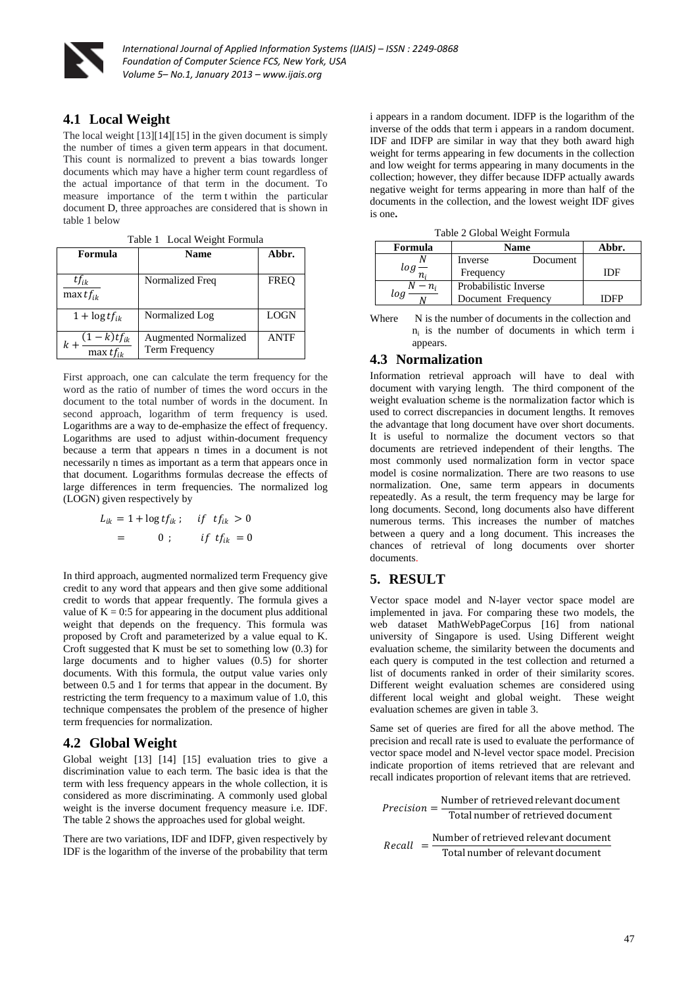

### **4.1 Local Weight**

The local weight [13][14][15] in the given document is simply the number of times a given [term](http://dicionario.sensagent.com/Term%20(language)/en-en/) appears in that document. This count is normalized to prevent a bias towards longer documents which may have a higher term count regardless of the actual importance of that term in the document. To measure importance of the term t within the particular document D, three approaches are considered that is shown in table 1 below

| raoic r Eocar Weight Formula          |                                                      |             |  |  |  |
|---------------------------------------|------------------------------------------------------|-------------|--|--|--|
| Formula                               | <b>Name</b>                                          | Abbr.       |  |  |  |
| $tf_{ik}$<br>max $tf_{ik}$            | Normalized Freq                                      | <b>FREO</b> |  |  |  |
| $1 + \log t f_{ik}$                   | Normalized Log                                       | <b>LOGN</b> |  |  |  |
| $\frac{(1-k)t f_{ik}}{\max t f_{ik}}$ | <b>Augmented Normalized</b><br><b>Term Frequency</b> | <b>ANTF</b> |  |  |  |

Table 1 Local Weight Formula

First approach, one can calculate the term frequency for the word as the ratio of number of times the word occurs in the document to the total number of words in the document. In second approach, logarithm of term frequency is used. Logarithms are a way to de-emphasize the effect of frequency. Logarithms are used to adjust within-document frequency because a term that appears n times in a document is not necessarily n times as important as a term that appears once in that document. Logarithms formulas decrease the effects of large differences in term frequencies. The normalized log (LOGN) given respectively by

$$
L_{ik} = 1 + \log t f_{ik} ; \quad \text{if } t f_{ik} > 0
$$

$$
= 0 ; \quad \text{if } t f_{ik} = 0
$$

In third approach, augmented normalized term Frequency give credit to any word that appears and then give some additional credit to words that appear frequently. The formula gives a value of  $K = 0.5$  for appearing in the document plus additional weight that depends on the frequency. This formula was proposed by Croft and parameterized by a value equal to K. Croft suggested that K must be set to something low (0.3) for large documents and to higher values (0.5) for shorter documents. With this formula, the output value varies only between 0.5 and 1 for terms that appear in the document. By restricting the term frequency to a maximum value of 1.0, this technique compensates the problem of the presence of higher term frequencies for normalization.

#### **4.2 Global Weight**

Global weight [13] [14] [15] evaluation tries to give a discrimination value to each term. The basic idea is that the term with less frequency appears in the whole collection, it is considered as more discriminating. A commonly used global weight is the inverse document frequency measure i.e. IDF. The table 2 shows the approaches used for global weight.

There are two variations, IDF and IDFP, given respectively by IDF is the logarithm of the inverse of the probability that term i appears in a random document. IDFP is the logarithm of the inverse of the odds that term i appears in a random document. IDF and IDFP are similar in way that they both award high weight for terms appearing in few documents in the collection and low weight for terms appearing in many documents in the collection; however, they differ because IDFP actually awards negative weight for terms appearing in more than half of the documents in the collection, and the lowest weight IDF gives is one**.** 

Table 2 Global Weight Formula

| Formula | <b>Name</b>           | Abbr. |
|---------|-----------------------|-------|
|         | Inverse<br>Document   |       |
|         | Frequency             | IDE   |
| $- n_i$ | Probabilistic Inverse |       |
| ιoς     | Document Frequency    |       |

Where N is the number of documents in the collection and  $n_i$  is the number of documents in which term i appears.

### **4.3 Normalization**

Information retrieval approach will have to deal with document with varying length. The third component of the weight evaluation scheme is the normalization factor which is used to correct discrepancies in document lengths. It removes the advantage that long document have over short documents. It is useful to normalize the document vectors so that documents are retrieved independent of their lengths. The most commonly used normalization form in vector space model is cosine normalization. There are two reasons to use normalization. One, same term appears in documents repeatedly. As a result, the term frequency may be large for long documents. Second, long documents also have different numerous terms. This increases the number of matches between a query and a long document. This increases the chances of retrieval of long documents over shorter documents.

# **5. RESULT**

Vector space model and N-layer vector space model are implemented in java. For comparing these two models, the web dataset MathWebPageCorpus [16] from national university of Singapore is used. Using Different weight evaluation scheme, the similarity between the documents and each query is computed in the test collection and returned a list of documents ranked in order of their similarity scores. Different weight evaluation schemes are considered using different local weight and global weight. These weight evaluation schemes are given in table 3.

Same set of queries are fired for all the above method. The precision and recall rate is used to evaluate the performance of vector space model and N-level vector space model. Precision indicate proportion of items retrieved that are relevant and recall indicates proportion of relevant items that are retrieved.

$$
Precision = \frac{Number of retrieved relevant document}{Total number of retrieved document}
$$

$$
Recall = \frac{Number of retrieved relevant document}{Total number of reviewed relevant document}
$$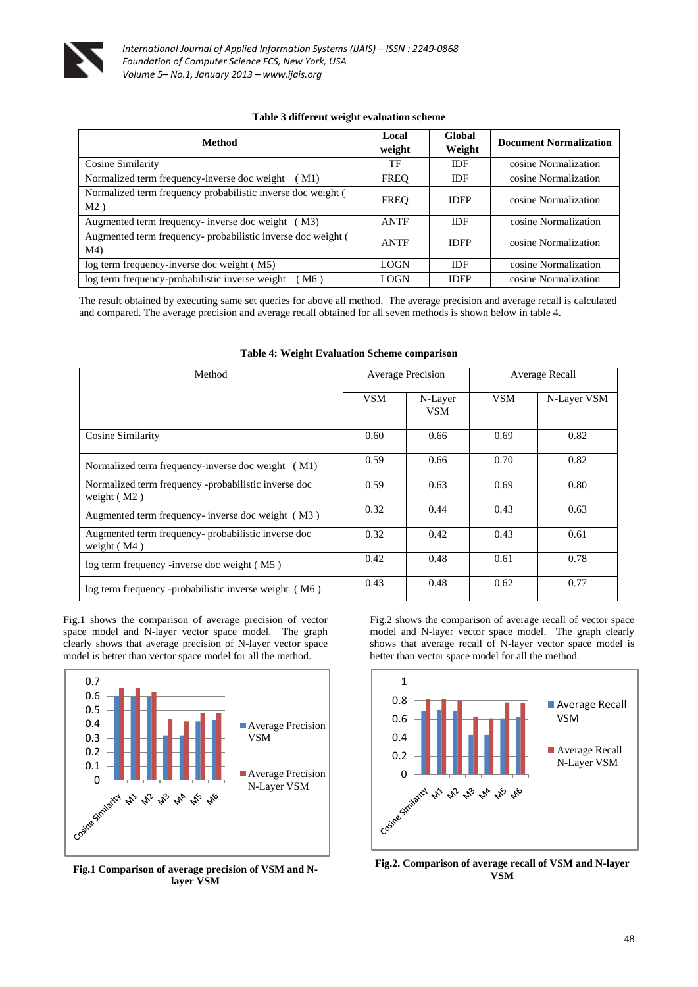

#### **Table 3 different weight evaluation scheme**

| Method                                                                         | Local<br>weight | Global<br>Weight | <b>Document Normalization</b> |  |
|--------------------------------------------------------------------------------|-----------------|------------------|-------------------------------|--|
| Cosine Similarity                                                              | TF              | <b>IDF</b>       | cosine Normalization          |  |
| Normalized term frequency-inverse doc weight<br>(M1)                           | <b>FREO</b>     | IDF              | cosine Normalization          |  |
| Normalized term frequency probabilistic inverse doc weight (<br>M2)            | <b>FREO</b>     | <b>IDFP</b>      | cosine Normalization          |  |
| Augmented term frequency- inverse doc weight<br>(M3)                           | <b>ANTF</b>     | <b>IDF</b>       | cosine Normalization          |  |
| Augmented term frequency- probabilistic inverse doc weight (<br>M <sub>4</sub> | <b>ANTF</b>     | <b>IDFP</b>      | cosine Normalization          |  |
| log term frequency-inverse doc weight (M5)                                     | <b>LOGN</b>     | <b>IDF</b>       | cosine Normalization          |  |
| log term frequency-probabilistic inverse weight<br>$M6$ )                      | <b>LOGN</b>     | <b>IDFP</b>      | cosine Normalization          |  |

The result obtained by executing same set queries for above all method. The average precision and average recall is calculated and compared. The average precision and average recall obtained for all seven methods is shown below in table 4.

| Method                                                                | <b>Average Precision</b> |                       | Average Recall |             |
|-----------------------------------------------------------------------|--------------------------|-----------------------|----------------|-------------|
|                                                                       | <b>VSM</b>               | N-Layer<br><b>VSM</b> | <b>VSM</b>     | N-Layer VSM |
| Cosine Similarity                                                     | 0.60                     | 0.66                  | 0.69           | 0.82        |
| Normalized term frequency-inverse doc weight (M1)                     | 0.59                     | 0.66                  | 0.70           | 0.82        |
| Normalized term frequency -probabilistic inverse doc<br>weight $(M2)$ | 0.59                     | 0.63                  | 0.69           | 0.80        |
| Augmented term frequency- inverse doc weight (M3)                     | 0.32                     | 0.44                  | 0.43           | 0.63        |
| Augmented term frequency- probabilistic inverse doc<br>weight $(M4)$  | 0.32                     | 0.42                  | 0.43           | 0.61        |
| log term frequency -inverse doc weight (M5)                           | 0.42                     | 0.48                  | 0.61           | 0.78        |
| log term frequency -probabilistic inverse weight (M6)                 | 0.43                     | 0.48                  | 0.62           | 0.77        |

#### **Table 4: Weight Evaluation Scheme comparison**

Fig.1 shows the comparison of average precision of vector space model and N-layer vector space model. The graph clearly shows that average precision of N-layer vector space model is better than vector space model for all the method.



**Fig.1 Comparison of average precision of VSM and Nlayer VSM**

Fig.2 shows the comparison of average recall of vector space model and N-layer vector space model. The graph clearly shows that average recall of N-layer vector space model is better than vector space model for all the method.